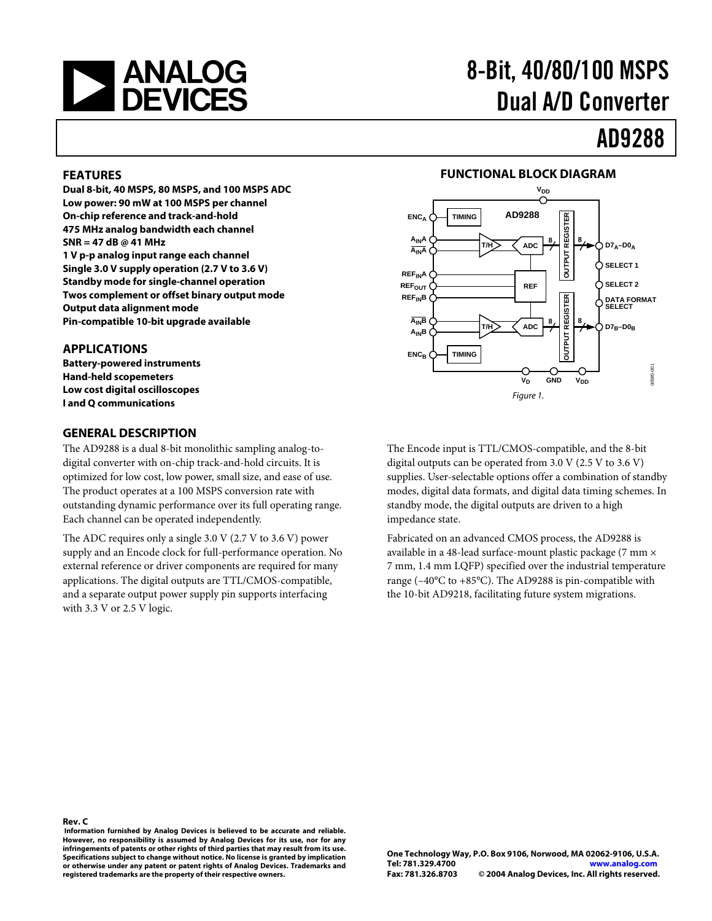

# 8-Bit, 40/80/100 MSPS Dual A/D Converter

# AD9288

#### **FEATURES**

**Dual 8-bit, 40 MSPS, 80 MSPS, and 100 MSPS ADC Low power: 90 mW at 100 MSPS per channel On-chip reference and track-and-hold 475 MHz analog bandwidth each channel SNR = 47 dB @ 41 MHz 1 V p-p analog input range each channel Single 3.0 V supply operation (2.7 V to 3.6 V) Standby mode for single-channel operation Twos complement or offset binary output mode Output data alignment mode Pin-compatible 10-bit upgrade available** 

#### **APPLICATIONS**

**Battery-powered instruments Hand-held scopemeters Low cost digital oscilloscopes I and Q communications** 

#### **GENERAL DESCRIPTION**

The AD9288 is a dual 8-bit monolithic sampling analog-todigital converter with on-chip track-and-hold circuits. It is optimized for low cost, low power, small size, and ease of use. The product operates at a 100 MSPS conversion rate with outstanding dynamic performance over its full operating range. Each channel can be operated independently.

The ADC requires only a single 3.0 V (2.7 V to 3.6 V) power supply and an Encode clock for full-performance operation. No external reference or driver components are required for many applications. The digital outputs are TTL/CMOS-compatible, and a separate output power supply pin supports interfacing with 3.3 V or 2.5 V logic.

#### **FUNCTIONAL BLOCK DIAGRAM**



The Encode input is TTL/CMOS-compatible, and the 8-bit digital outputs can be operated from 3.0 V (2.5 V to 3.6 V) supplies. User-selectable options offer a combination of standby modes, digital data formats, and digital data timing schemes. In standby mode, the digital outputs are driven to a high impedance state.

Fabricated on an advanced CMOS process, the AD9288 is available in a 48-lead surface-mount plastic package (7 mm × 7 mm, 1.4 mm LQFP) specified over the industrial temperature range (–40°C to +85°C). The AD9288 is pin-compatible with the 10-bit AD9218, facilitating future system migrations.

 **or otherwise under any patent or patent rights of Analog Devices. Trademarks and registered trademarks are the property of their respective owners. Rev. C Information furnished by Analog Devices is believed to be accurate and reliable. However, no responsibility is assumed by Analog Devices for its use, nor for any infringements of patents or other rights of third parties that may result from its use. Specifications subject to change without notice. No license is granted by implication**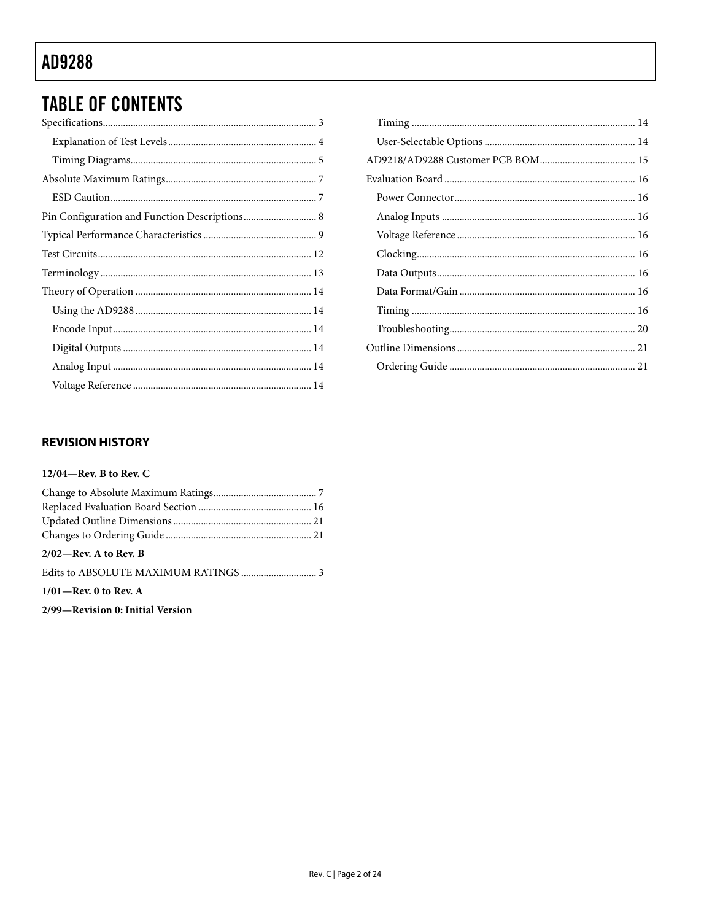## **TABLE OF CONTENTS**

| Pin Configuration and Function Descriptions 8 |  |
|-----------------------------------------------|--|
|                                               |  |
|                                               |  |
|                                               |  |
|                                               |  |
|                                               |  |
|                                               |  |
|                                               |  |
|                                               |  |
|                                               |  |

### **REVISION HISTORY**

#### 12/04—Rev. B to Rev. C

| $2/02$ —Rev. A to Rev. B |  |
|--------------------------|--|
|                          |  |

#### $1/01$ —Rev. 0 to Rev. A

2/99-Revision 0: Initial Version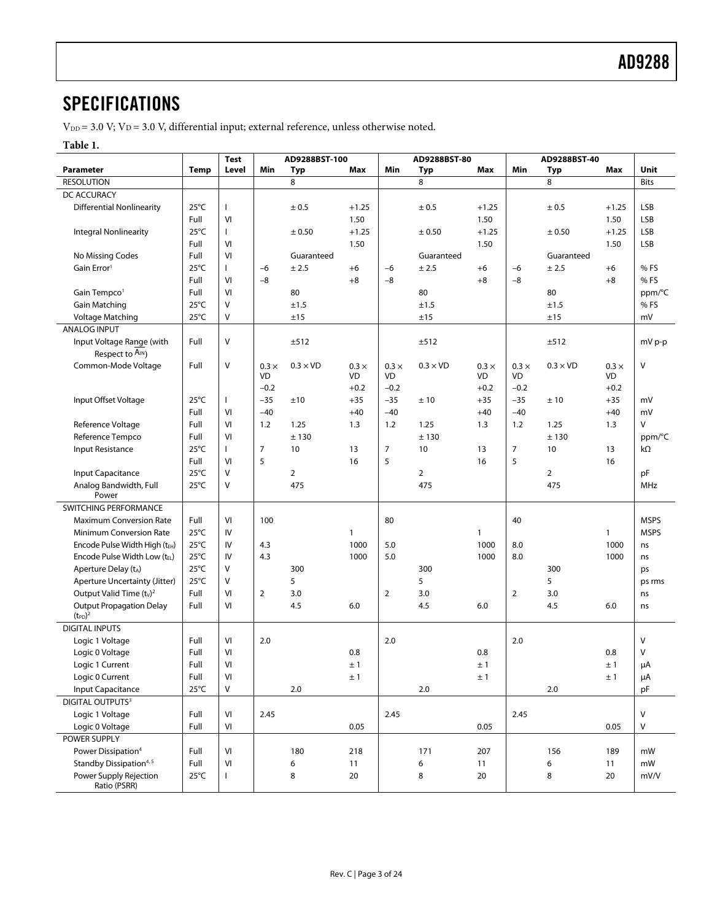### <span id="page-2-0"></span>**SPECIFICATIONS**

 $V_{DD} = 3.0$  V;  $V_D = 3.0$  V, differential input; external reference, unless otherwise noted.

#### **Table 1.**

|                                                 |                | <b>Test</b>  |                | AD9288BST-100   |              |                | AD9288BST-80    |              |              | AD9288BST-40    |              |             |
|-------------------------------------------------|----------------|--------------|----------------|-----------------|--------------|----------------|-----------------|--------------|--------------|-----------------|--------------|-------------|
| <b>Parameter</b>                                | <b>Temp</b>    | Level        | Min            | Typ             | Max          | Min            | Typ             | Max          | Min          | Typ             | Max          | Unit        |
| <b>RESOLUTION</b>                               |                |              |                | 8               |              |                | 8               |              |              | 8               |              | <b>Bits</b> |
| DC ACCURACY                                     |                |              |                |                 |              |                |                 |              |              |                 |              |             |
| <b>Differential Nonlinearity</b>                | $25^{\circ}$ C | $\mathsf{I}$ |                | ± 0.5           | $+1.25$      |                | ± 0.5           | $+1.25$      |              | ± 0.5           | $+1.25$      | LSB         |
|                                                 | Full           | VI           |                |                 | 1.50         |                |                 | 1.50         |              |                 | 1.50         | LSB         |
| <b>Integral Nonlinearity</b>                    | $25^{\circ}$ C | $\mathbf{I}$ |                | ± 0.50          | $+1.25$      |                | ± 0.50          | $+1.25$      |              | ± 0.50          | $+1.25$      | LSB         |
|                                                 | Full           | VI           |                |                 | 1.50         |                |                 | 1.50         |              |                 | 1.50         | LSB         |
| No Missing Codes                                | Full           | VI           |                | Guaranteed      |              |                | Guaranteed      |              |              | Guaranteed      |              |             |
| Gain Error <sup>1</sup>                         | $25^{\circ}$ C | $\mathbf{I}$ | $-6$           | ± 2.5           | $+6$         | $-6$           | ± 2.5           | $+6$         | $-6$         | ± 2.5           | $+6$         | % FS        |
|                                                 | Full           | VI           | $-8$           |                 | $+8$         | $-8$           |                 | $+8$         | $-8$         |                 | $+8$         | % FS        |
| Gain Tempco <sup>1</sup>                        | Full           | VI           |                | 80              |              |                | 80              |              |              | 80              |              | ppm/°C      |
| <b>Gain Matching</b>                            | $25^{\circ}$ C | $\vee$       |                | ±1.5            |              |                | ±1.5            |              |              | ±1.5            |              | % FS        |
| Voltage Matching                                | $25^{\circ}$ C | V            |                | ±15             |              |                | ±15             |              |              | ±15             |              | mV          |
| <b>ANALOG INPUT</b>                             |                |              |                |                 |              |                |                 |              |              |                 |              |             |
| Input Voltage Range (with                       | Full           | $\vee$       |                | ±512            |              |                | ±512            |              |              | ±512            |              | mV p-p      |
| Respect to $A_{IN}$ )                           |                |              |                |                 |              |                |                 |              |              |                 |              |             |
| Common-Mode Voltage                             | Full           | $\vee$       | $0.3 \times$   | $0.3 \times$ VD | $0.3 \times$ | $0.3 \times$   | $0.3 \times$ VD | $0.3 \times$ | $0.3 \times$ | $0.3 \times$ VD | $0.3 \times$ | V           |
|                                                 |                |              | VD             |                 | VD           | VD             |                 | VD           | VD           |                 | VD           |             |
|                                                 |                |              | $-0.2$         |                 | $+0.2$       | $-0.2$         |                 | $+0.2$       | $-0.2$       |                 | $+0.2$       |             |
| Input Offset Voltage                            | $25^{\circ}$ C | T            | $-35$          | ±10             | $+35$        | $-35$          | ±10             | $+35$        | $-35$        | ±10             | $+35$        | mV          |
|                                                 | Full           | VI           | $-40$          |                 | $+40$        | $-40$          |                 | $+40$        | $-40$        |                 | $+40$        | mV          |
| Reference Voltage                               | Full           | VI           | 1.2            | 1.25            | 1.3          | 1.2            | 1.25            | 1.3          | 1.2          | 1.25            | 1.3          | V           |
| Reference Tempco                                | Full           | VI           |                | ±130            |              |                | ±130            |              |              | ±130            |              | ppm/°C      |
| Input Resistance                                | $25^{\circ}$ C | T            | $\overline{7}$ | 10              | 13           | $\overline{7}$ | 10              | 13           | 7            | 10              | 13           | kΩ          |
|                                                 | Full           | VI           | 5              |                 | 16           | 5              |                 | 16           | 5            |                 | 16           |             |
| Input Capacitance                               | $25^{\circ}$ C | $\vee$       |                | $\overline{2}$  |              |                | 2               |              |              | $\overline{2}$  |              | pF          |
| Analog Bandwidth, Full<br>Power                 | $25^{\circ}$ C | $\vee$       |                | 475             |              |                | 475             |              |              | 475             |              | MHz         |
| SWITCHING PERFORMANCE                           |                |              |                |                 |              |                |                 |              |              |                 |              |             |
| <b>Maximum Conversion Rate</b>                  | Full           | VI           | 100            |                 |              | 80             |                 |              | 40           |                 |              | <b>MSPS</b> |
| <b>Minimum Conversion Rate</b>                  | $25^{\circ}$ C | IV           |                |                 | $\mathbf{1}$ |                |                 | $\mathbf{1}$ |              |                 | $\mathbf{1}$ | <b>MSPS</b> |
| Encode Pulse Width High (tEH)                   | $25^{\circ}$ C | IV           | 4.3            |                 | 1000         | 5.0            |                 | 1000         | 8.0          |                 | 1000         | ns          |
| Encode Pulse Width Low (tEL)                    | $25^{\circ}$ C | IV           | 4.3            |                 | 1000         | 5.0            |                 | 1000         | 8.0          |                 | 1000         | ns          |
| Aperture Delay (tA)                             | $25^{\circ}$ C | V            |                | 300             |              |                | 300             |              |              | 300             |              | ps          |
| Aperture Uncertainty (Jitter)                   | $25^{\circ}$ C | $\vee$       |                | 5               |              |                | 5               |              |              | 5               |              | ps rms      |
| Output Valid Time $(tv)^2$                      | Full           | VI           | $\overline{2}$ | 3.0             |              | $\overline{2}$ | 3.0             |              | 2            | 3.0             |              | ns          |
| <b>Output Propagation Delay</b><br>$(t_{PD})^2$ | Full           | VI           |                | 4.5             | 6.0          |                | 4.5             | 6.0          |              | 4.5             | 6.0          | ns          |
| <b>DIGITAL INPUTS</b>                           |                |              |                |                 |              |                |                 |              |              |                 |              |             |
| Logic 1 Voltage                                 | Full           | VI           | 2.0            |                 |              | 2.0            |                 |              | 2.0          |                 |              | V           |
| Logic 0 Voltage                                 | Full           | VI           |                |                 | 0.8          |                |                 | 0.8          |              |                 | 0.8          | V           |
| Logic 1 Current                                 | Full           | VI           |                |                 | ±1           |                |                 | ±1           |              |                 | ±1           | μA          |
| Logic 0 Current                                 | Full           | VI           |                |                 | ±1           |                |                 | ±1           |              |                 | ±1           | μA          |
| Input Capacitance                               | $25^{\circ}$ C | V            |                | 2.0             |              |                | 2.0             |              |              | 2.0             |              | pF          |
| <b>DIGITAL OUTPUTS3</b>                         |                |              |                |                 |              |                |                 |              |              |                 |              |             |
| Logic 1 Voltage                                 | Full           | VI           | 2.45           |                 |              | 2.45           |                 |              | 2.45         |                 |              | V           |
| Logic 0 Voltage                                 | Full           | VI           |                |                 | 0.05         |                |                 | 0.05         |              |                 | 0.05         | V           |
| POWER SUPPLY                                    |                |              |                |                 |              |                |                 |              |              |                 |              |             |
| Power Dissipation <sup>4</sup>                  | Full           | VI           |                | 180             | 218          |                | 171             | 207          |              | 156             | 189          | mW          |
| Standby Dissipation <sup>4, 5</sup>             | Full           | VI           |                | 6               | 11           |                | 6               | 11           |              | 6               | 11           | mW          |
| Power Supply Rejection                          | $25^{\circ}$ C | $\mathbf{I}$ |                | 8               | 20           |                | 8               | 20           |              | 8               | 20           | mV/V        |
| Ratio (PSRR)                                    |                |              |                |                 |              |                |                 |              |              |                 |              |             |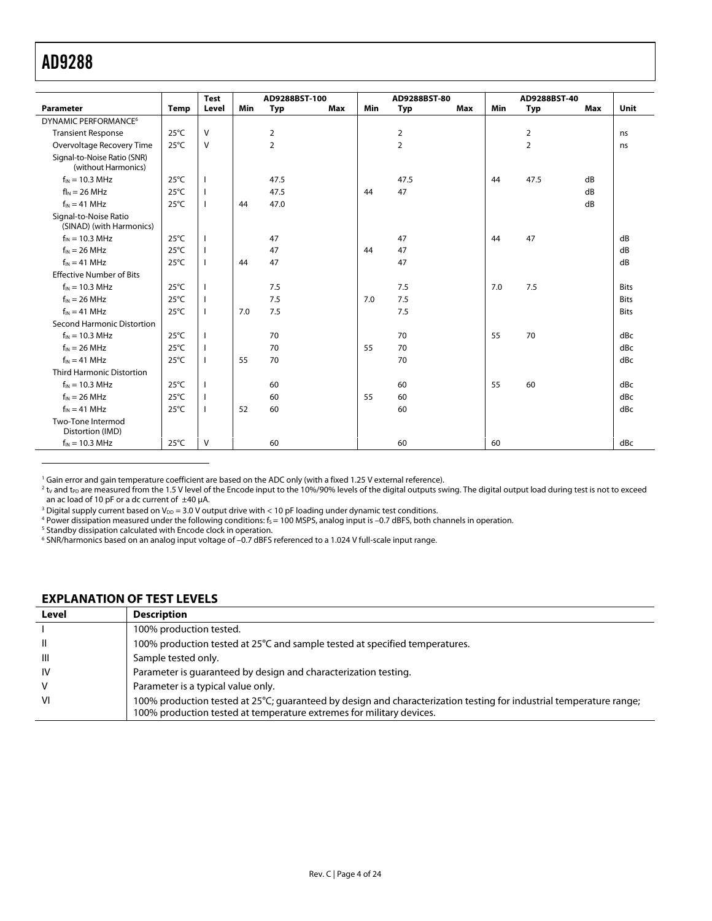$\overline{a}$ 

<span id="page-3-0"></span>

| <b>Parameter</b>                                   | <b>Temp</b>    | <b>Test</b><br>Level | <b>Min</b> | AD9288BST-100<br><b>Typ</b> | Max | <b>Min</b> | AD9288BST-80<br><b>Typ</b> | Max | <b>Min</b> | AD9288BST-40<br><b>Typ</b> | Max | Unit        |
|----------------------------------------------------|----------------|----------------------|------------|-----------------------------|-----|------------|----------------------------|-----|------------|----------------------------|-----|-------------|
| DYNAMIC PERFORMANCE <sup>6</sup>                   |                |                      |            |                             |     |            |                            |     |            |                            |     |             |
| <b>Transient Response</b>                          | $25^{\circ}$ C | $\vee$               |            | 2                           |     |            | 2                          |     |            | 2                          |     | ns          |
| Overvoltage Recovery Time                          | $25^{\circ}$ C | $\vee$               |            | $\overline{2}$              |     |            | 2                          |     |            | $\overline{2}$             |     | ns          |
| Signal-to-Noise Ratio (SNR)<br>(without Harmonics) |                |                      |            |                             |     |            |                            |     |            |                            |     |             |
| $f_{IN}$ = 10.3 MHz                                | $25^{\circ}$ C | -1                   |            | 47.5                        |     |            | 47.5                       |     | 44         | 47.5                       | dB  |             |
| $flN = 26 MHz$                                     | $25^{\circ}$ C | T                    |            | 47.5                        |     | 44         | 47                         |     |            |                            | dB  |             |
| $f_{IN} = 41 MHz$                                  | $25^{\circ}$ C | $\mathbf{I}$         | 44         | 47.0                        |     |            |                            |     |            |                            | dB  |             |
| Signal-to-Noise Ratio<br>(SINAD) (with Harmonics)  |                |                      |            |                             |     |            |                            |     |            |                            |     |             |
| $f_{IN}$ = 10.3 MHz                                | $25^{\circ}$ C | I.                   |            | 47                          |     |            | 47                         |     | 44         | 47                         |     | dB          |
| $f_{IN}$ = 26 MHz                                  | $25^{\circ}$ C | I.                   |            | 47                          |     | 44         | 47                         |     |            |                            |     | dB          |
| $f_{IN} = 41 MHz$                                  | $25^{\circ}$ C | T                    | 44         | 47                          |     |            | 47                         |     |            |                            |     | dB          |
| <b>Effective Number of Bits</b>                    |                |                      |            |                             |     |            |                            |     |            |                            |     |             |
| $f_{IN}$ = 10.3 MHz                                | $25^{\circ}$ C | $\mathbf{I}$         |            | 7.5                         |     |            | 7.5                        |     | 7.0        | 7.5                        |     | <b>Bits</b> |
| $f_{IN} = 26 \text{ MHz}$                          | $25^{\circ}$ C | T                    |            | 7.5                         |     | 7.0        | 7.5                        |     |            |                            |     | <b>Bits</b> |
| $f_{IN} = 41$ MHz                                  | $25^{\circ}$ C | T                    | 7.0        | 7.5                         |     | 7.5        |                            |     |            | <b>Bits</b>                |     |             |
| <b>Second Harmonic Distortion</b>                  |                |                      |            |                             |     |            |                            |     |            |                            |     |             |
| $f_{IN}$ = 10.3 MHz                                | $25^{\circ}$ C | $\mathbf{I}$         |            | 70                          |     |            | 70                         |     | 55         | 70                         |     | dBc         |
| $f_{IN} = 26 \text{ MHz}$                          | $25^{\circ}$ C | T                    |            | 70                          |     | 55         | 70                         |     |            |                            |     | dBc         |
| $f_{IN} = 41$ MHz                                  | $25^{\circ}$ C | T                    | 55         | 70                          |     |            | 70                         |     |            |                            |     | dBc         |
| <b>Third Harmonic Distortion</b>                   |                |                      |            |                             |     |            |                            |     |            |                            |     |             |
| $f_{IN}$ = 10.3 MHz                                | $25^{\circ}$ C | $\mathbf{I}$         |            | 60                          |     |            | 60                         |     | 55         | 60                         |     | dBc         |
| $f_{IN} = 26 \text{ MHz}$                          | $25^{\circ}$ C | T                    |            | 60                          |     | 55         | 60                         |     |            |                            |     | dBc         |
| $f_{IN} = 41$ MHz                                  | $25^{\circ}$ C | $\mathbf{I}$         | 52         | 60                          |     |            | 60                         |     |            |                            |     | dBc         |
| Two-Tone Intermod<br>Distortion (IMD)              |                |                      |            |                             |     |            |                            |     |            |                            |     |             |
| $f_{IN}$ = 10.3 MHz                                | $25^{\circ}$ C | V                    |            | 60                          |     |            | 60                         |     | 60         |                            |     | dBc         |

<span id="page-3-2"></span><span id="page-3-1"></span><sup>1</sup> Gain error and gain temperature coefficient are based on the ADC only (with a fixed 1.25 V external reference).<br><sup>2</sup> t<sub>v</sub> and t<sub>P</sub>o are measured from the 1.5 V level of the Encode input to the 10%/90% levels of the dig an ac load of 10 pF or a dc current of  $\pm 40$  µA.<br><sup>3</sup> Digital supply current based on Vea = 3.0 V ou

<span id="page-3-3"></span> $^3$  Digital supply current based on V $_{\text{DD}}$  = 3.0 V output drive with < 10 pF loading under dynamic test conditions.<br>4 Power dissination measured under the following conditions: f. – 100 MSPS, analog input is –0.7 dBFS

<span id="page-3-4"></span><sup>4</sup> Power dissipation measured under the following conditions: f<sub>S</sub>= 100 MSPS, analog input is –0.7 dBFS, both channels in operation.<br><sup>5</sup> Standby dissipation calculated with Encode clock in operation

<span id="page-3-5"></span><sup>5</sup> Standby dissipation calculated with Encode clock in operation.

#### **EXPLANATION OF TEST LEVELS**

| Level     | <b>Description</b>                                                                                                                                                                          |
|-----------|---------------------------------------------------------------------------------------------------------------------------------------------------------------------------------------------|
|           | 100% production tested.                                                                                                                                                                     |
| H         | 100% production tested at 25°C and sample tested at specified temperatures.                                                                                                                 |
| -III      | Sample tested only.                                                                                                                                                                         |
| <b>IV</b> | Parameter is guaranteed by design and characterization testing.                                                                                                                             |
| V         | Parameter is a typical value only.                                                                                                                                                          |
| VI        | 100% production tested at 25°C; quaranteed by design and characterization testing for industrial temperature range;<br>100% production tested at temperature extremes for military devices. |

<sup>6</sup> SNR/harmonics based on an analog input voltage of –0.7 dBFS referenced to a 1.024 V full-scale input range.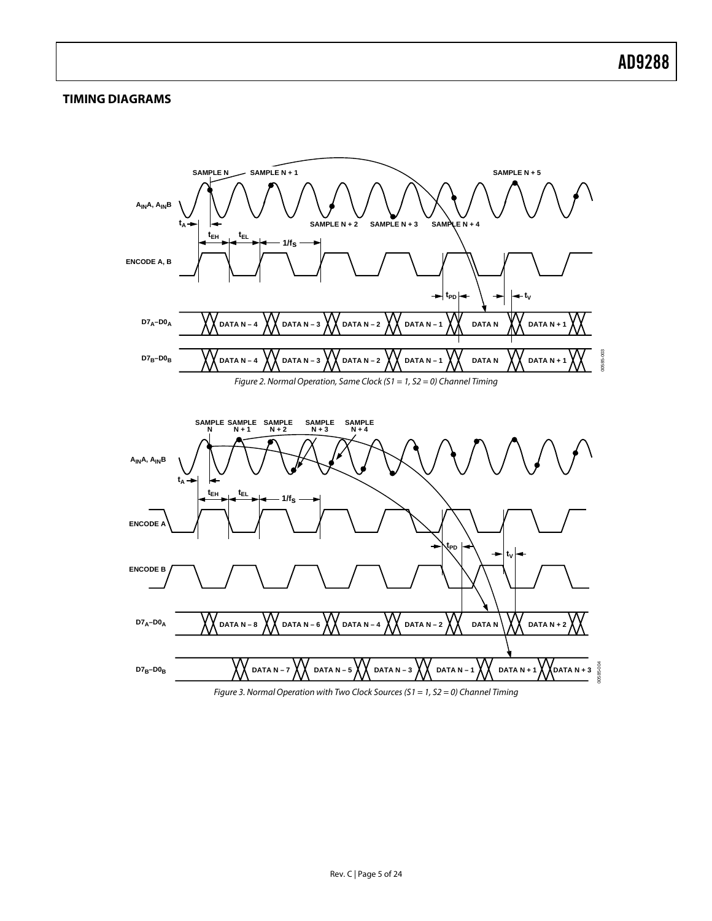#### <span id="page-4-0"></span>**TIMING DIAGRAMS**

<span id="page-4-2"></span><span id="page-4-1"></span>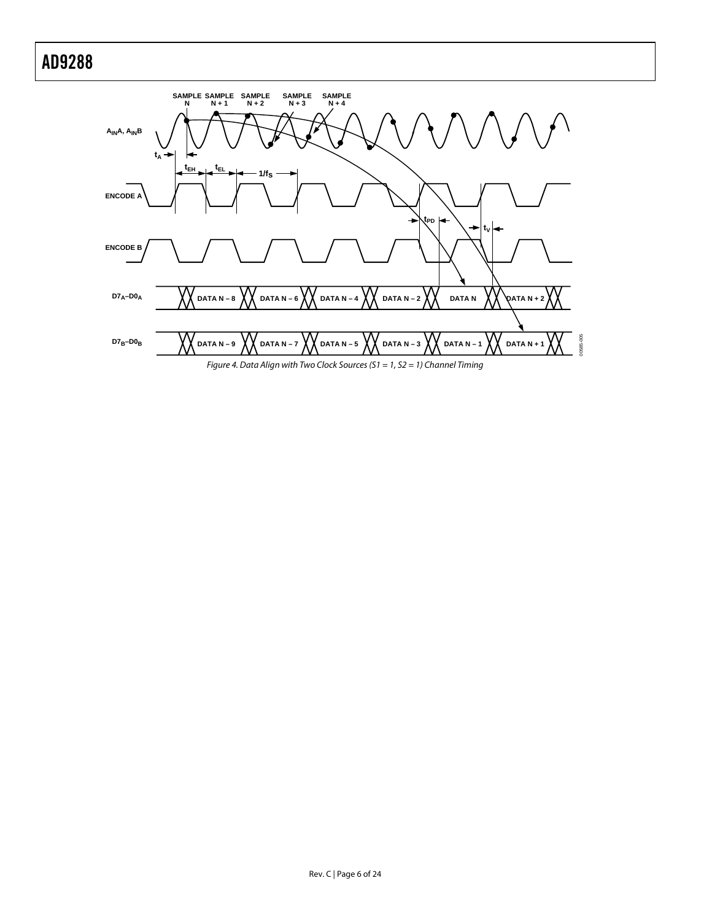<span id="page-5-0"></span>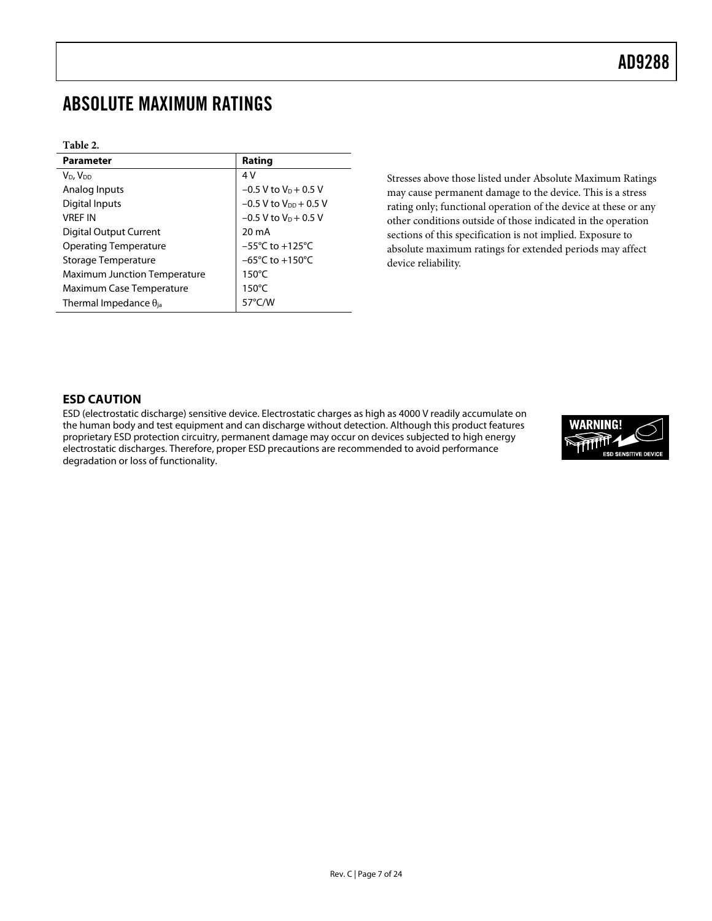### <span id="page-6-0"></span>ABSOLUTE MAXIMUM RATINGS

#### **Table 2.**

| <b>Parameter</b>                    | Rating                              |
|-------------------------------------|-------------------------------------|
| V <sub>D</sub> , V <sub>DD</sub>    | 4 V                                 |
| Analog Inputs                       | $-0.5$ V to V <sub>p</sub> + 0.5 V  |
| Digital Inputs                      | $-0.5$ V to $V_{DD}$ + 0.5 V        |
| <b>VRFF IN</b>                      | $-0.5$ V to V <sub>p</sub> + 0.5 V  |
| Digital Output Current              | 20 mA                               |
| <b>Operating Temperature</b>        | $-55^{\circ}$ C to $+125^{\circ}$ C |
| Storage Temperature                 | $-65^{\circ}$ C to $+150^{\circ}$ C |
| <b>Maximum Junction Temperature</b> | $150^{\circ}$ C                     |
| Maximum Case Temperature            | $150^{\circ}$ C                     |
| Thermal Impedance $\theta_{ia}$     | 57 $\degree$ C/W                    |

Stresses above those listed under Absolute Maximum Ratings may cause permanent damage to the device. This is a stress rating only; functional operation of the device at these or any other conditions outside of those indicated in the operation sections of this specification is not implied. Exposure to absolute maximum ratings for extended periods may affect device reliability.

#### **ESD CAUTION**

ESD (electrostatic discharge) sensitive device. Electrostatic charges as high as 4000 V readily accumulate on the human body and test equipment and can discharge without detection. Although this product features proprietary ESD protection circuitry, permanent damage may occur on devices subjected to high energy electrostatic discharges. Therefore, proper ESD precautions are recommended to avoid performance degradation or loss of functionality.

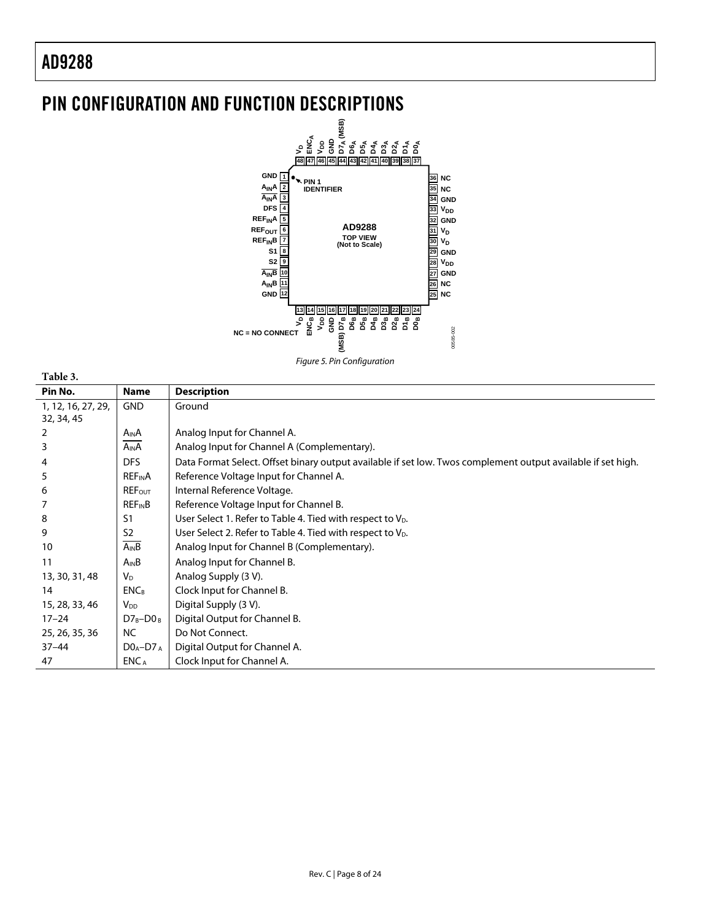## <span id="page-7-0"></span>PIN CONFIGURATION AND FUNCTION DESCRIPTIONS



**Table 3.** 

| Pin No.            | Name                     | <b>Description</b>                                                                                           |
|--------------------|--------------------------|--------------------------------------------------------------------------------------------------------------|
| 1, 12, 16, 27, 29, | <b>GND</b>               | Ground                                                                                                       |
| 32, 34, 45         |                          |                                                                                                              |
| 2                  | A <sub>IN</sub> A        | Analog Input for Channel A.                                                                                  |
| 3                  | $A_{IN}A$                | Analog Input for Channel A (Complementary).                                                                  |
| 4                  | <b>DFS</b>               | Data Format Select. Offset binary output available if set low. Twos complement output available if set high. |
| 5                  | <b>REFINA</b>            | Reference Voltage Input for Channel A.                                                                       |
| 6                  | <b>REFOUT</b>            | Internal Reference Voltage.                                                                                  |
|                    | <b>REF<sub>IN</sub>B</b> | Reference Voltage Input for Channel B.                                                                       |
| 8                  | S <sub>1</sub>           | User Select 1. Refer to Table 4. Tied with respect to $V_{D}$ .                                              |
| 9                  | S <sub>2</sub>           | User Select 2. Refer to Table 4. Tied with respect to V <sub>D</sub> .                                       |
| 10                 | $A_{IN}B$                | Analog Input for Channel B (Complementary).                                                                  |
| 11                 | $A_{IN}B$                | Analog Input for Channel B.                                                                                  |
| 13, 30, 31, 48     | <b>V<sub>D</sub></b>     | Analog Supply (3 V).                                                                                         |
| 14                 | <b>ENCB</b>              | Clock Input for Channel B.                                                                                   |
| 15, 28, 33, 46     | V <sub>DD</sub>          | Digital Supply (3 V).                                                                                        |
| $17 - 24$          | $D7_B-D0_B$              | Digital Output for Channel B.                                                                                |
| 25, 26, 35, 36     | NC.                      | Do Not Connect.                                                                                              |
| $37 - 44$          | $DOA-D7A$                | Digital Output for Channel A.                                                                                |
| 47                 | ENC <sub>A</sub>         | Clock Input for Channel A.                                                                                   |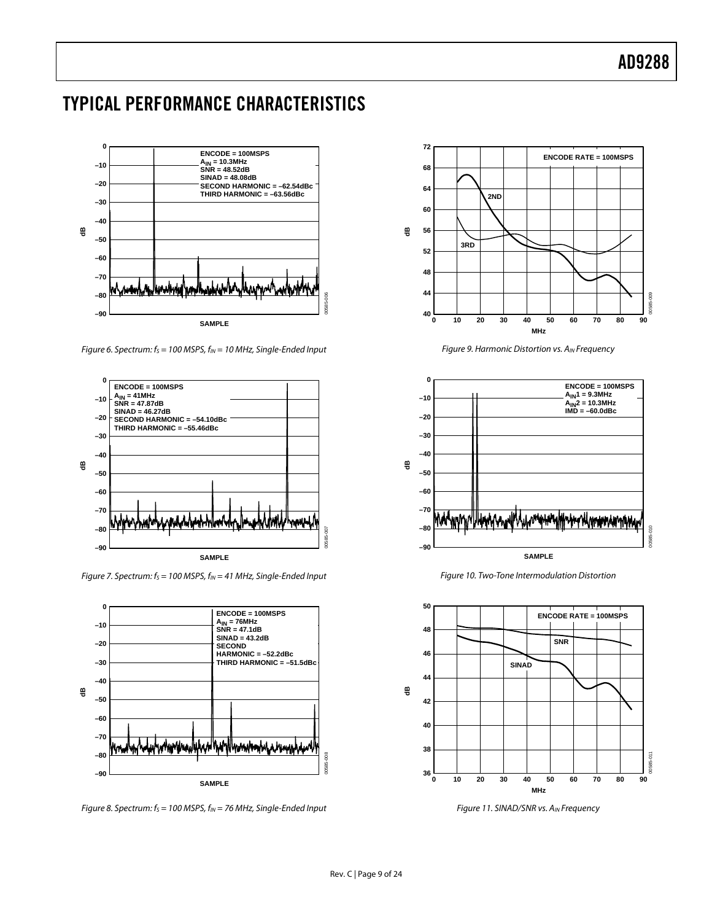### <span id="page-8-0"></span>TYPICAL PERFORMANCE CHARACTERISTICS



Figure 6. Spectrum:  $f_s = 100$  MSPS,  $f_{IN} = 10$  MHz, Single-Ended Input



Figure 7. Spectrum:  $f_s = 100$  MSPS,  $f_{IN} = 41$  MHz, Single-Ended Input



Figure 8. Spectrum:  $f_s = 100$  MSPS,  $f_{IN} = 76$  MHz, Single-Ended Input



Figure 9. Harmonic Distortion vs. AIN Frequency



Figure 10. Two-Tone Intermodulation Distortion



Figure 11. SINAD/SNR vs. A<sub>IN</sub> Frequency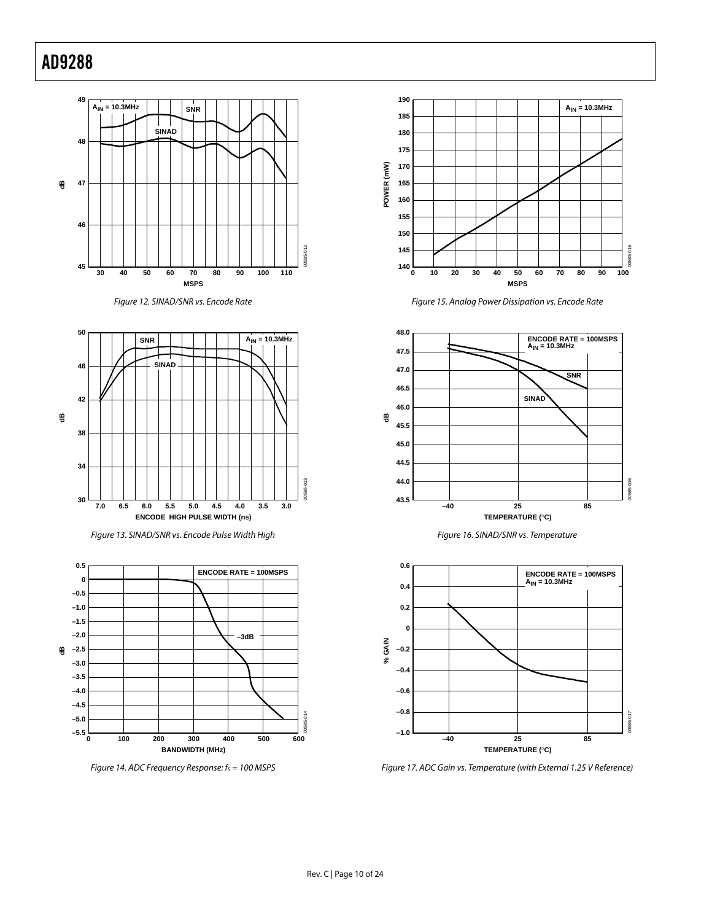









Figure 14. ADC Frequency Response:  $f_s = 100$  MSPS











Figure 17. ADC Gain vs. Temperature (with External 1.25 V Reference)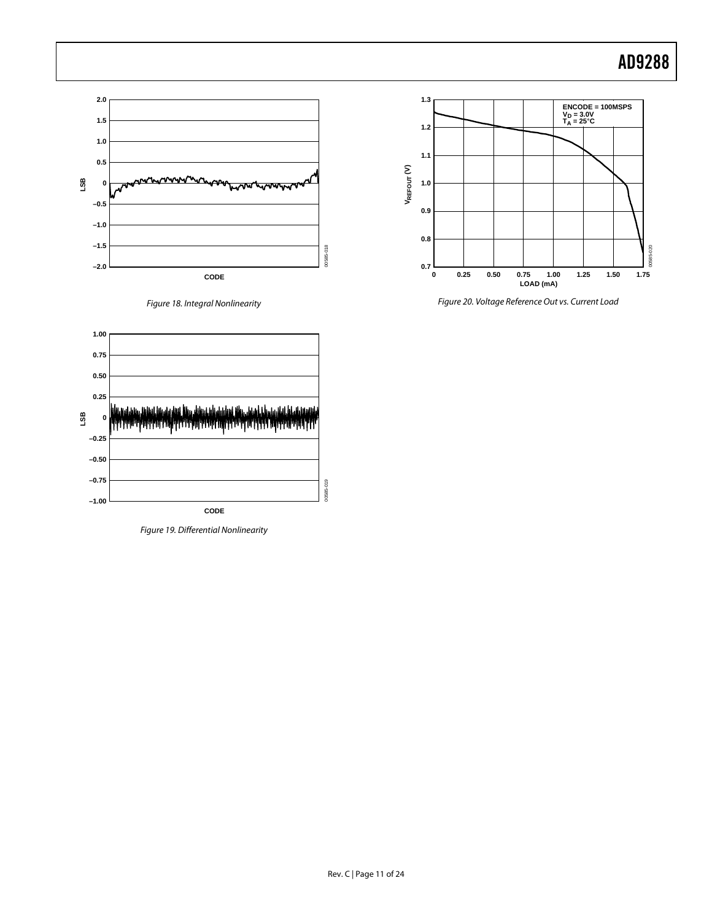





Figure 19. Differential Nonlinearity



Figure 20. Voltage Reference Out vs. Current Load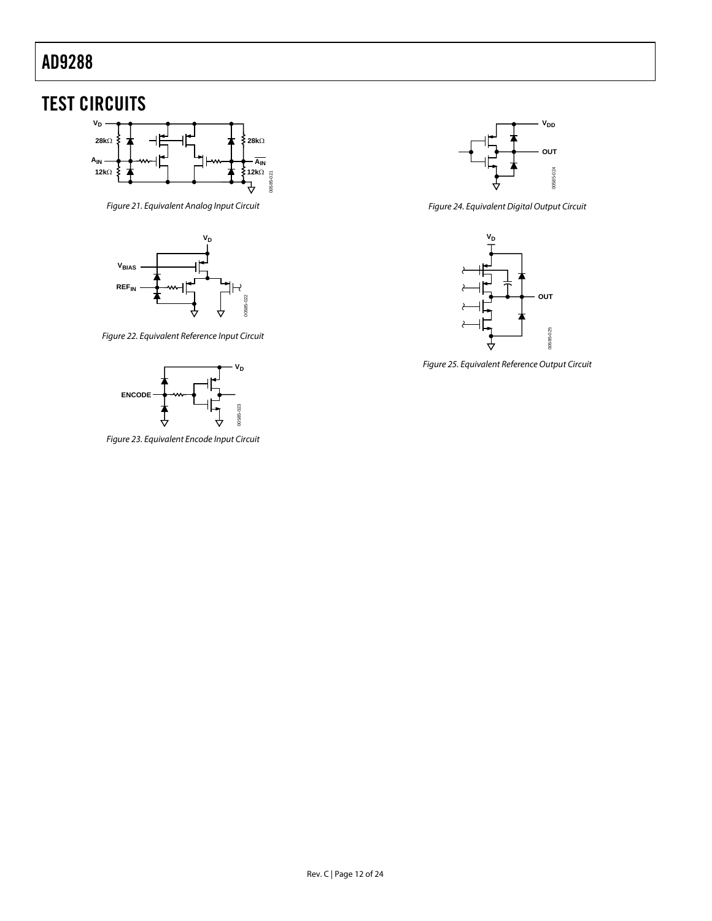## <span id="page-11-0"></span>TEST CIRCUITS



Figure 21. Equivalent Analog Input Circuit



Figure 22. Equivalent Reference Input Circuit



Figure 23. Equivalent Encode Input Circuit



Figure 24. Equivalent Digital Output Circuit



Figure 25. Equivalent Reference Output Circuit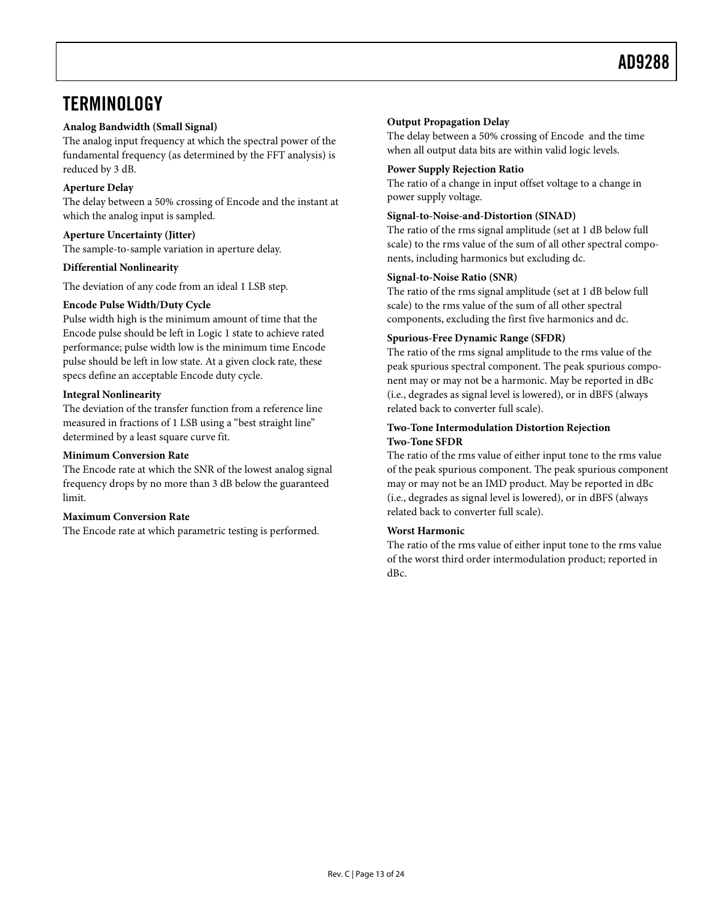### <span id="page-12-0"></span>**TERMINOLOGY**

#### **Analog Bandwidth (Small Signal)**

The analog input frequency at which the spectral power of the fundamental frequency (as determined by the FFT analysis) is reduced by 3 dB.

#### **Aperture Delay**

The delay between a 50% crossing of Encode and the instant at which the analog input is sampled.

#### **Aperture Uncertainty (Jitter)**

The sample-to-sample variation in aperture delay.

#### **Differential Nonlinearity**

The deviation of any code from an ideal 1 LSB step.

#### **Encode Pulse Width/Duty Cycle**

Pulse width high is the minimum amount of time that the Encode pulse should be left in Logic 1 state to achieve rated performance; pulse width low is the minimum time Encode pulse should be left in low state. At a given clock rate, these specs define an acceptable Encode duty cycle.

#### **Integral Nonlinearity**

The deviation of the transfer function from a reference line measured in fractions of 1 LSB using a "best straight line" determined by a least square curve fit.

#### **Minimum Conversion Rate**

The Encode rate at which the SNR of the lowest analog signal frequency drops by no more than 3 dB below the guaranteed limit.

#### **Maximum Conversion Rate**

The Encode rate at which parametric testing is performed.

#### **Output Propagation Delay**

The delay between a 50% crossing of Encode and the time when all output data bits are within valid logic levels.

#### **Power Supply Rejection Ratio**

The ratio of a change in input offset voltage to a change in power supply voltage.

#### **Signal-to-Noise-and-Distortion (SINAD)**

The ratio of the rms signal amplitude (set at 1 dB below full scale) to the rms value of the sum of all other spectral components, including harmonics but excluding dc.

#### **Signal-to-Noise Ratio (SNR)**

The ratio of the rms signal amplitude (set at 1 dB below full scale) to the rms value of the sum of all other spectral components, excluding the first five harmonics and dc.

#### **Spurious-Free Dynamic Range (SFDR)**

The ratio of the rms signal amplitude to the rms value of the peak spurious spectral component. The peak spurious component may or may not be a harmonic. May be reported in dBc (i.e., degrades as signal level is lowered), or in dBFS (always related back to converter full scale).

#### **Two-Tone Intermodulation Distortion Rejection Two-Tone SFDR**

The ratio of the rms value of either input tone to the rms value of the peak spurious component. The peak spurious component may or may not be an IMD product. May be reported in dBc (i.e., degrades as signal level is lowered), or in dBFS (always related back to converter full scale).

#### **Worst Harmonic**

The ratio of the rms value of either input tone to the rms value of the worst third order intermodulation product; reported in dBc.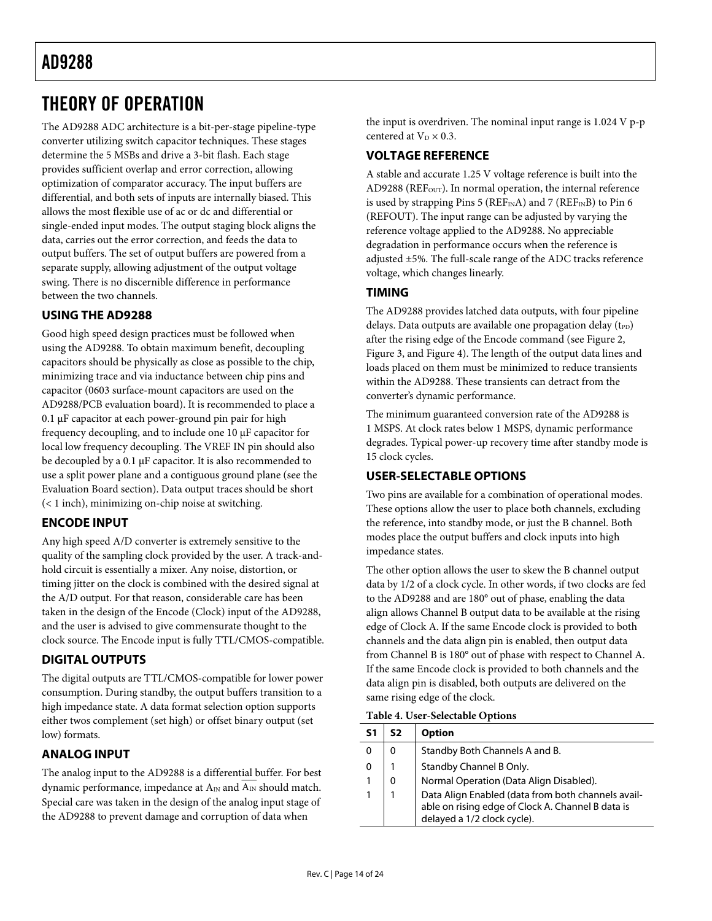## <span id="page-13-0"></span>THEORY OF OPERATION

The AD9288 ADC architecture is a bit-per-stage pipeline-type converter utilizing switch capacitor techniques. These stages determine the 5 MSBs and drive a 3-bit flash. Each stage provides sufficient overlap and error correction, allowing optimization of comparator accuracy. The input buffers are differential, and both sets of inputs are internally biased. This allows the most flexible use of ac or dc and differential or single-ended input modes. The output staging block aligns the data, carries out the error correction, and feeds the data to output buffers. The set of output buffers are powered from a separate supply, allowing adjustment of the output voltage swing. There is no discernible difference in performance between the two channels.

### **USING THE AD9288**

Good high speed design practices must be followed when using the AD9288. To obtain maximum benefit, decoupling capacitors should be physically as close as possible to the chip, minimizing trace and via inductance between chip pins and capacitor (0603 surface-mount capacitors are used on the AD9288/PCB evaluation board). It is recommended to place a 0.1 µF capacitor at each power-ground pin pair for high frequency decoupling, and to include one 10 µF capacitor for local low frequency decoupling. The VREF IN pin should also be decoupled by a 0.1 µF capacitor. It is also recommended to use a split power plane and a contiguous ground plane (see the [Evaluation Board](#page-15-1) section). Data output traces should be short (< 1 inch), minimizing on-chip noise at switching.

#### **ENCODE INPUT**

Any high speed A/D converter is extremely sensitive to the quality of the sampling clock provided by the user. A track-andhold circuit is essentially a mixer. Any noise, distortion, or timing jitter on the clock is combined with the desired signal at the A/D output. For that reason, considerable care has been taken in the design of the Encode (Clock) input of the AD9288, and the user is advised to give commensurate thought to the clock source. The Encode input is fully TTL/CMOS-compatible.

### **DIGITAL OUTPUTS**

The digital outputs are TTL/CMOS-compatible for lower power consumption. During standby, the output buffers transition to a high impedance state. A data format selection option supports either twos complement (set high) or offset binary output (set low) formats.

### **ANALOG INPUT**

The analog input to the AD9288 is a differential buffer. For best dynamic performance, impedance at  $A_{IN}$  and  $\overline{A_{IN}}$  should match. Special care was taken in the design of the analog input stage of the AD9288 to prevent damage and corruption of data when

the input is overdriven. The nominal input range is 1.024 V p-p centered at  $V_D \times 0.3$ .

### **VOLTAGE REFERENCE**

A stable and accurate 1.25 V voltage reference is built into the AD9288 (REF<sub>OUT</sub>). In normal operation, the internal reference is used by strapping Pins 5 ( $REF<sub>IN</sub>A$ ) and 7 ( $REF<sub>IN</sub>B$ ) to Pin 6 (REFOUT). The input range can be adjusted by varying the reference voltage applied to the AD9288. No appreciable degradation in performance occurs when the reference is adjusted ±5%. The full-scale range of the ADC tracks reference voltage, which changes linearly.

### **TIMING**

The AD9288 provides latched data outputs, with four pipeline delays. Data outputs are available one propagation delay  $(t_{PD})$ after the rising edge of the Encode command (see [Figure 2,](#page-4-1)  [Figure 3,](#page-4-2) and [Figure 4\)](#page-5-0). The length of the output data lines and loads placed on them must be minimized to reduce transients within the AD9288. These transients can detract from the converter's dynamic performance.

The minimum guaranteed conversion rate of the AD9288 is 1 MSPS. At clock rates below 1 MSPS, dynamic performance degrades. Typical power-up recovery time after standby mode is 15 clock cycles.

### **USER-SELECTABLE OPTIONS**

Two pins are available for a combination of operational modes. These options allow the user to place both channels, excluding the reference, into standby mode, or just the B channel. Both modes place the output buffers and clock inputs into high impedance states.

The other option allows the user to skew the B channel output data by 1/2 of a clock cycle. In other words, if two clocks are fed to the AD9288 and are 180° out of phase, enabling the data align allows Channel B output data to be available at the rising edge of Clock A. If the same Encode clock is provided to both channels and the data align pin is enabled, then output data from Channel B is 180° out of phase with respect to Channel A. If the same Encode clock is provided to both channels and the data align pin is disabled, both outputs are delivered on the same rising edge of the clock.

<span id="page-13-1"></span>**Table 4. User-Selectable Options** 

| S1 | S2       | <b>Option</b>                                                                                                                          |
|----|----------|----------------------------------------------------------------------------------------------------------------------------------------|
| 0  | $\Omega$ | Standby Both Channels A and B.                                                                                                         |
| 0  |          | Standby Channel B Only.                                                                                                                |
| 1  | 0        | Normal Operation (Data Align Disabled).                                                                                                |
| 1  |          | Data Align Enabled (data from both channels avail-<br>able on rising edge of Clock A. Channel B data is<br>delayed a 1/2 clock cycle). |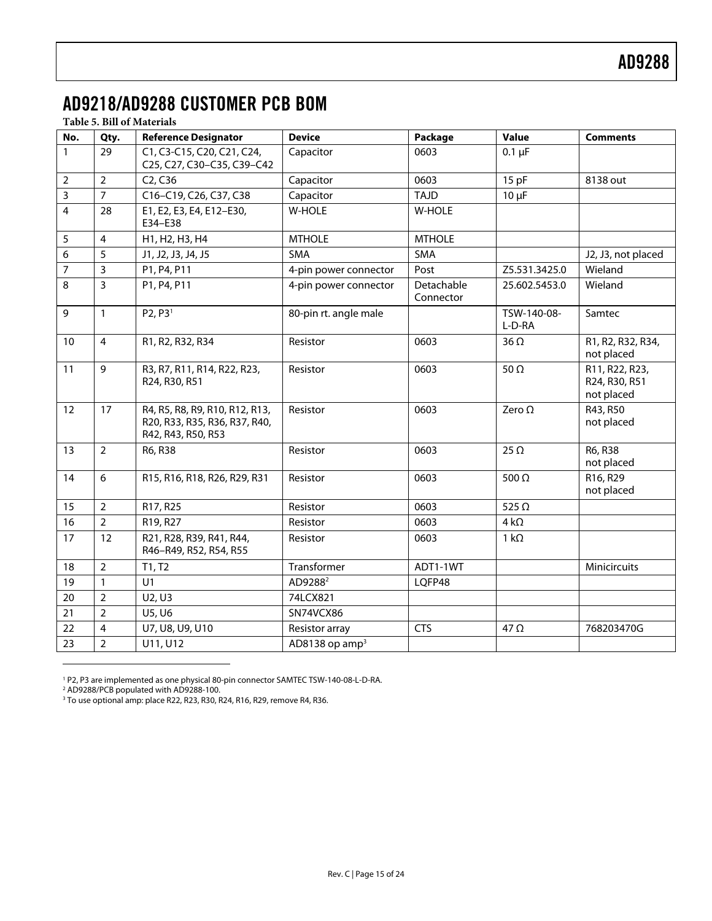## <span id="page-14-0"></span>AD9218/AD9288 CUSTOMER PCB BOM

#### **Table 5. Bill of Materials**

| No.                     | Qty.           | <b>Reference Designator</b>                                                           | <b>Device</b>                | Package                 | Value                 | <b>Comments</b>                               |
|-------------------------|----------------|---------------------------------------------------------------------------------------|------------------------------|-------------------------|-----------------------|-----------------------------------------------|
| $\mathbf{1}$            | 29             | C1, C3-C15, C20, C21, C24,<br>C25, C27, C30-C35, C39-C42                              | Capacitor                    | 0603                    | $0.1 \mu F$           |                                               |
| $\overline{2}$          | $\overline{2}$ | C <sub>2</sub> , C <sub>36</sub>                                                      | Capacitor                    | 0603                    | 15pF                  | 8138 out                                      |
| 3                       | $\overline{7}$ | C16-C19, C26, C37, C38                                                                | Capacitor                    | <b>TAJD</b>             | $10 \mu F$            |                                               |
| $\overline{\mathbf{4}}$ | 28             | E1, E2, E3, E4, E12-E30,<br>E34-E38                                                   | <b>W-HOLE</b>                | W-HOLE                  |                       |                                               |
| 5                       | $\overline{4}$ | H1, H2, H3, H4                                                                        | <b>MTHOLE</b>                | <b>MTHOLE</b>           |                       |                                               |
| 6                       | 5              | J1, J2, J3, J4, J5                                                                    | <b>SMA</b>                   | SMA                     |                       | J2, J3, not placed                            |
| $\overline{7}$          | 3              | P1, P4, P11                                                                           | 4-pin power connector        | Post                    | Z5.531.3425.0         | Wieland                                       |
| 8                       | $\overline{3}$ | P1, P4, P11                                                                           | 4-pin power connector        | Detachable<br>Connector | 25.602.5453.0         | Wieland                                       |
| 9                       | $\mathbf{1}$   | P2, P3 <sup>1</sup>                                                                   | 80-pin rt. angle male        |                         | TSW-140-08-<br>L-D-RA | Samtec                                        |
| 10                      | $\overline{4}$ | R1, R2, R32, R34                                                                      | Resistor                     | 0603                    | $36 \Omega$           | R1, R2, R32, R34,<br>not placed               |
| 11                      | 9              | R3, R7, R11, R14, R22, R23,<br>R24, R30, R51                                          | Resistor                     | 0603                    | 50 $\Omega$           | R11, R22, R23,<br>R24, R30, R51<br>not placed |
| 12                      | 17             | R4, R5, R8, R9, R10, R12, R13,<br>R20, R33, R35, R36, R37, R40,<br>R42, R43, R50, R53 | Resistor                     | 0603                    | Zero $\Omega$         | R43, R50<br>not placed                        |
| 13                      | $\overline{2}$ | R6, R38                                                                               | Resistor                     | 0603                    | 25 $\Omega$           | R6, R38<br>not placed                         |
| 14                      | 6              | R15, R16, R18, R26, R29, R31                                                          | Resistor                     | 0603                    | 500 $\Omega$          | R16, R29<br>not placed                        |
| 15                      | $\overline{2}$ | R17, R25                                                                              | Resistor                     | 0603                    | 525 $\Omega$          |                                               |
| 16                      | $\overline{2}$ | R19, R27                                                                              | Resistor                     | 0603                    | $4 k\Omega$           |                                               |
| 17                      | 12             | R21, R28, R39, R41, R44,<br>R46-R49, R52, R54, R55                                    | Resistor                     | 0603                    | 1 k $\Omega$          |                                               |
| 18                      | $\overline{2}$ | T1, T2                                                                                | Transformer                  | ADT1-1WT                |                       | Minicircuits                                  |
| 19                      | $\mathbf{1}$   | U1                                                                                    | AD9288 <sup>2</sup>          | LQFP48                  |                       |                                               |
| 20                      | $\overline{2}$ | U2, U3                                                                                | 74LCX821                     |                         |                       |                                               |
| 21                      | $\overline{2}$ | U5, U6                                                                                | SN74VCX86                    |                         |                       |                                               |
| 22                      | $\overline{4}$ | U7, U8, U9, U10                                                                       | Resistor array               | <b>CTS</b>              | 47 $\Omega$           | 768203470G                                    |
| 23                      | $\overline{2}$ | U11, U12                                                                              | $AD8138$ op amp <sup>3</sup> |                         |                       |                                               |

<span id="page-14-1"></span><sup>1</sup> P2, P3 are implemented as one physical 80-pin connector SAMTEC TSW-140-08-L-D-RA.<br><sup>2</sup> AD9288/PCB populated with AD9288-100.<br><sup>3</sup> To use optional amp: place R22, R23, R30, R24, R16, R29, remove R4, R36.

<span id="page-14-2"></span>

 $\overline{a}$ 

<span id="page-14-3"></span>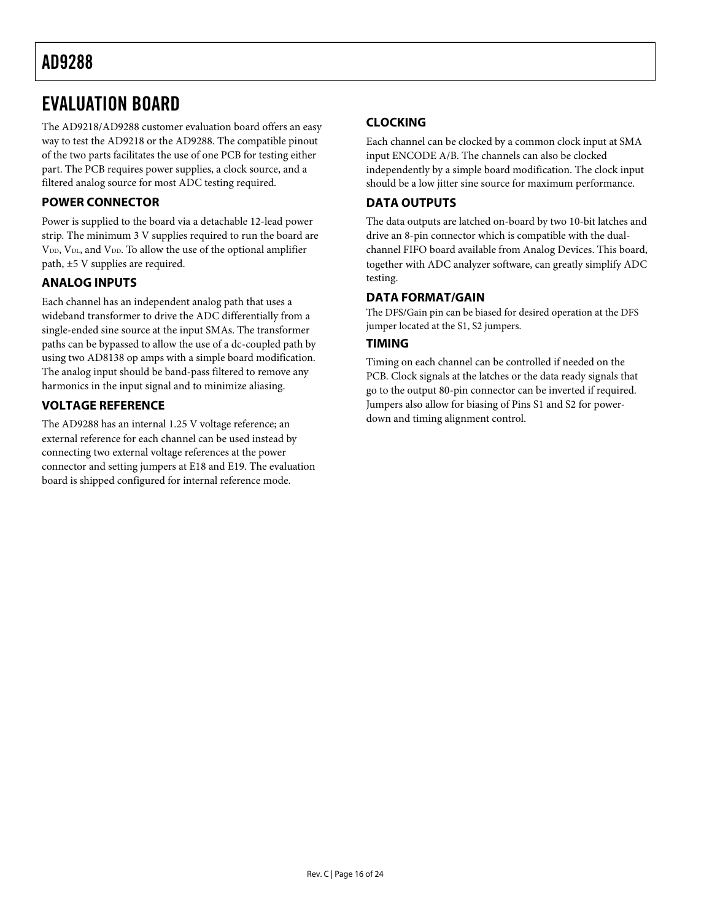### <span id="page-15-1"></span><span id="page-15-0"></span>EVALUATION BOARD

The AD9218/AD9288 customer evaluation board offers an easy way to test the AD9218 or the AD9288. The compatible pinout of the two parts facilitates the use of one PCB for testing either part. The PCB requires power supplies, a clock source, and a filtered analog source for most ADC testing required.

### **POWER CONNECTOR**

Power is supplied to the board via a detachable 12-lead power strip. The minimum 3 V supplies required to run the board are  $\rm V_{\scriptscriptstyle{DD}}$  V<sub>DL</sub>, and V<sub>DD</sub>. To allow the use of the optional amplifier path, ±5 V supplies are required.

### **ANALOG INPUTS**

Each channel has an independent analog path that uses a wideband transformer to drive the ADC differentially from a single-ended sine source at the input SMAs. The transformer paths can be bypassed to allow the use of a dc-coupled path by using two AD8138 op amps with a simple board modification. The analog input should be band-pass filtered to remove any harmonics in the input signal and to minimize aliasing.

### **VOLTAGE REFERENCE**

The AD9288 has an internal 1.25 V voltage reference; an external reference for each channel can be used instead by connecting two external voltage references at the power connector and setting jumpers at E18 and E19. The evaluation board is shipped configured for internal reference mode.

### **CLOCKING**

Each channel can be clocked by a common clock input at SMA input ENCODE A/B. The channels can also be clocked independently by a simple board modification. The clock input should be a low jitter sine source for maximum performance.

### **DATA OUTPUTS**

The data outputs are latched on-board by two 10-bit latches and drive an 8-pin connector which is compatible with the dualchannel FIFO board available from Analog Devices. This board, together with ADC analyzer software, can greatly simplify ADC testing.

### **DATA FORMAT/GAIN**

The DFS/Gain pin can be biased for desired operation at the DFS jumper located at the S1, S2 jumpers.

### **TIMING**

Timing on each channel can be controlled if needed on the PCB. Clock signals at the latches or the data ready signals that go to the output 80-pin connector can be inverted if required. Jumpers also allow for biasing of Pins S1 and S2 for powerdown and timing alignment control.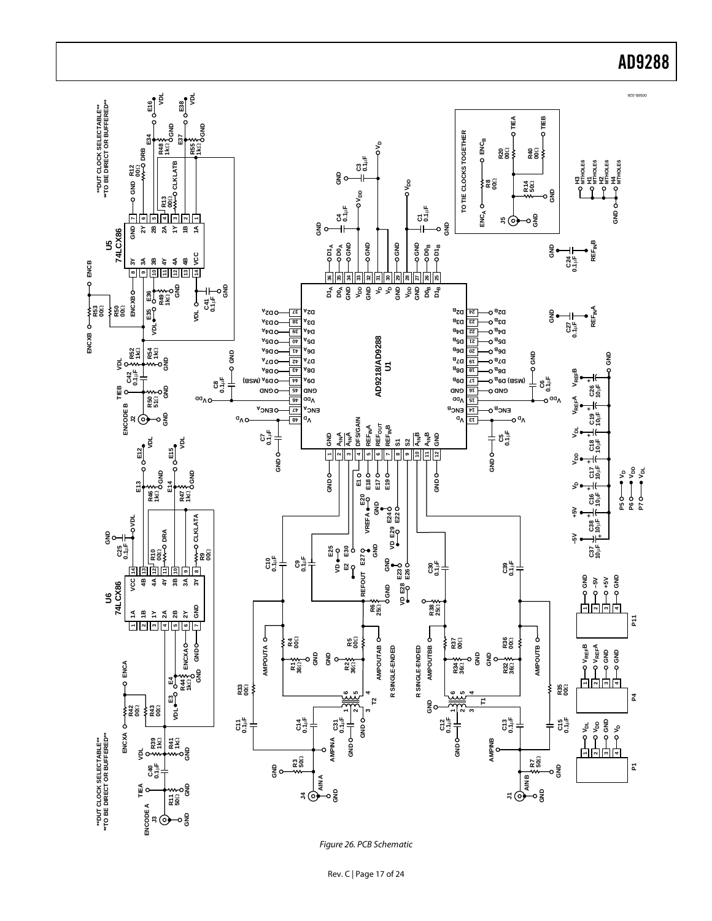

Rev. C | Page 17 of 24

### AD9288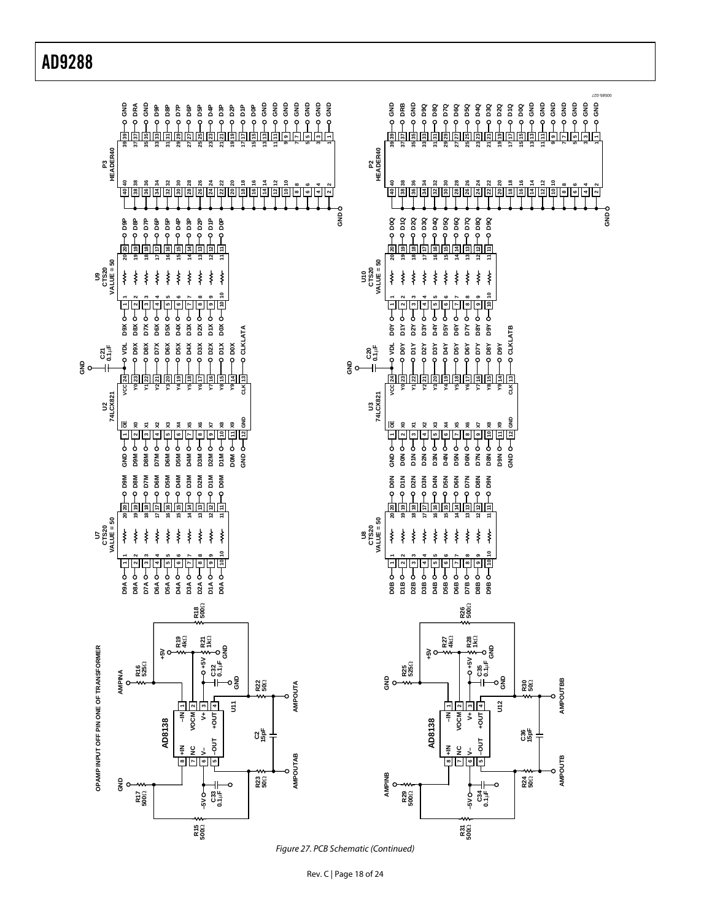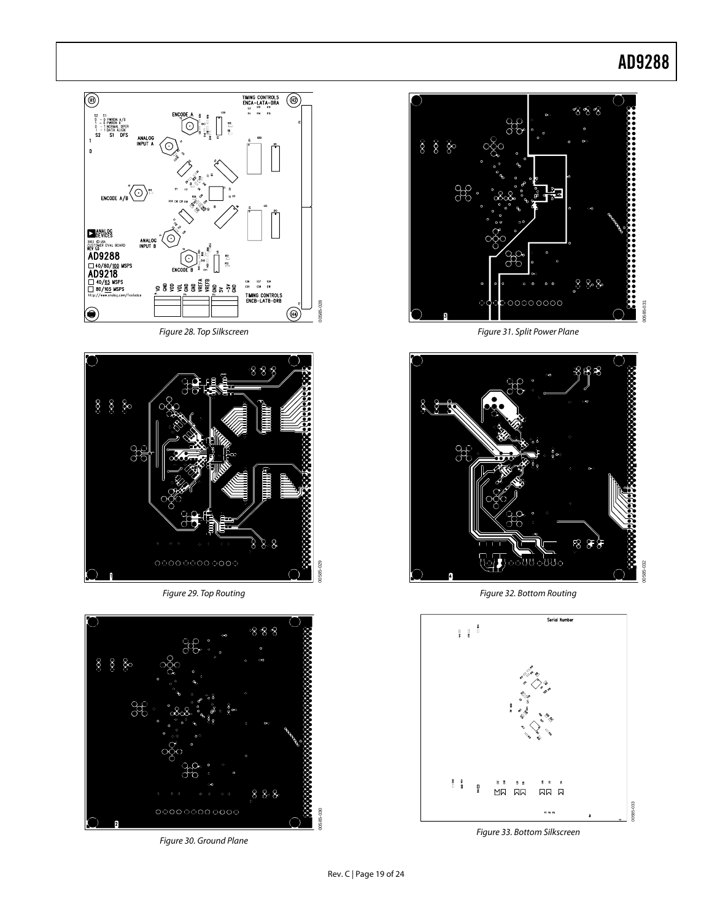

Figure 28. Top Silkscreen



Figure 29. Top Routing



Figure 30. Ground Plane



Figure 31. Split Power Plane



Figure 32. Bottom Routing



Figure 33. Bottom Silkscreen

00585-030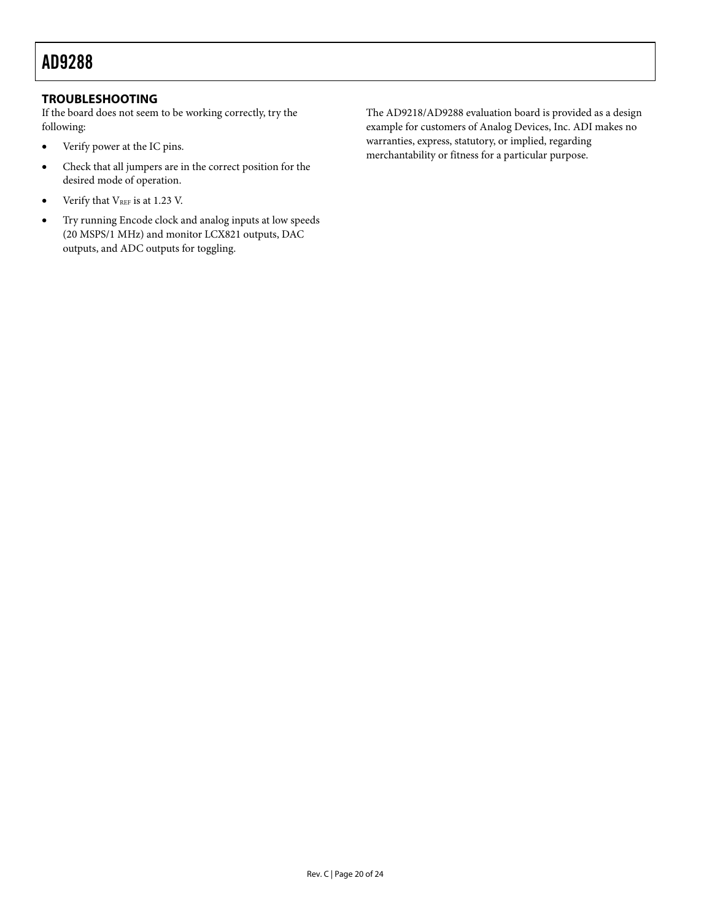### <span id="page-19-0"></span>**TROUBLESHOOTING**

If the board does not seem to be working correctly, try the following:

- Verify power at the IC pins.
- Check that all jumpers are in the correct position for the desired mode of operation.
- Verify that  $V_{REF}$  is at 1.23 V.
- Try running Encode clock and analog inputs at low speeds (20 MSPS/1 MHz) and monitor LCX821 outputs, DAC outputs, and ADC outputs for toggling.

The AD9218/AD9288 evaluation board is provided as a design example for customers of Analog Devices, Inc. ADI makes no warranties, express, statutory, or implied, regarding merchantability or fitness for a particular purpose.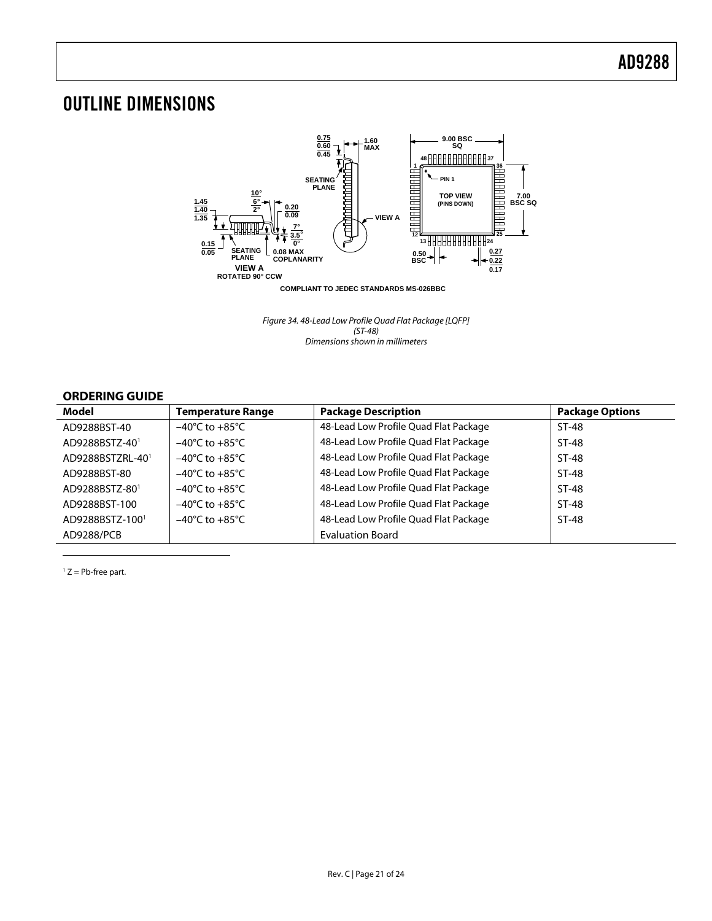## <span id="page-20-0"></span>OUTLINE DIMENSIONS



Figure 34. 48-Lead Low Profile Quad Flat Package [LQFP] (ST-48) Dimensions shown in millimeters

### **ORDERING GUIDE**

| Model                      | <b>Temperature Range</b>           | <b>Package Description</b>            | <b>Package Options</b> |
|----------------------------|------------------------------------|---------------------------------------|------------------------|
| AD9288BST-40               | $-40^{\circ}$ C to $+85^{\circ}$ C | 48-Lead Low Profile Quad Flat Package | ST-48                  |
| AD9288BSTZ-40 <sup>1</sup> | $-40^{\circ}$ C to $+85^{\circ}$ C | 48-Lead Low Profile Quad Flat Package | $ST-48$                |
| AD9288BSTZRL-401           | $-40^{\circ}$ C to $+85^{\circ}$ C | 48-Lead Low Profile Quad Flat Package | $ST-48$                |
| AD9288BST-80               | $-40^{\circ}$ C to $+85^{\circ}$ C | 48-Lead Low Profile Quad Flat Package | $ST-48$                |
| AD9288BSTZ-801             | $-40^{\circ}$ C to $+85^{\circ}$ C | 48-Lead Low Profile Quad Flat Package | $ST-48$                |
| AD9288BST-100              | $-40^{\circ}$ C to $+85^{\circ}$ C | 48-Lead Low Profile Quad Flat Package | $ST-48$                |
| AD9288BSTZ-1001            | $-40^{\circ}$ C to $+85^{\circ}$ C | 48-Lead Low Profile Quad Flat Package | ST-48                  |
| AD9288/PCB                 |                                    | <b>Evaluation Board</b>               |                        |

<span id="page-20-2"></span> $1 Z = Pb$ -free part.

<span id="page-20-1"></span> $\overline{a}$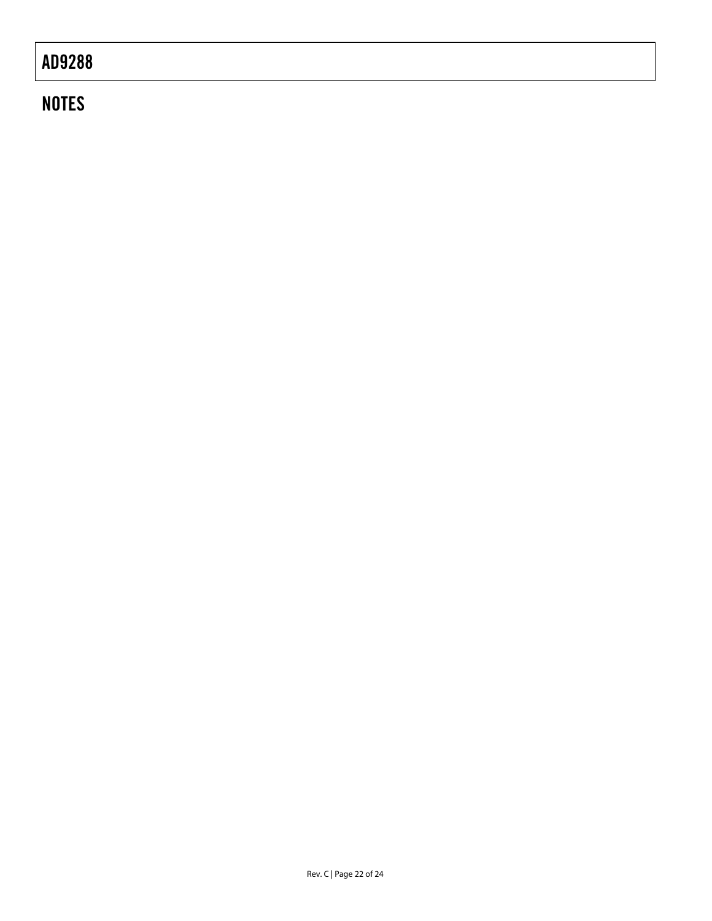## **NOTES**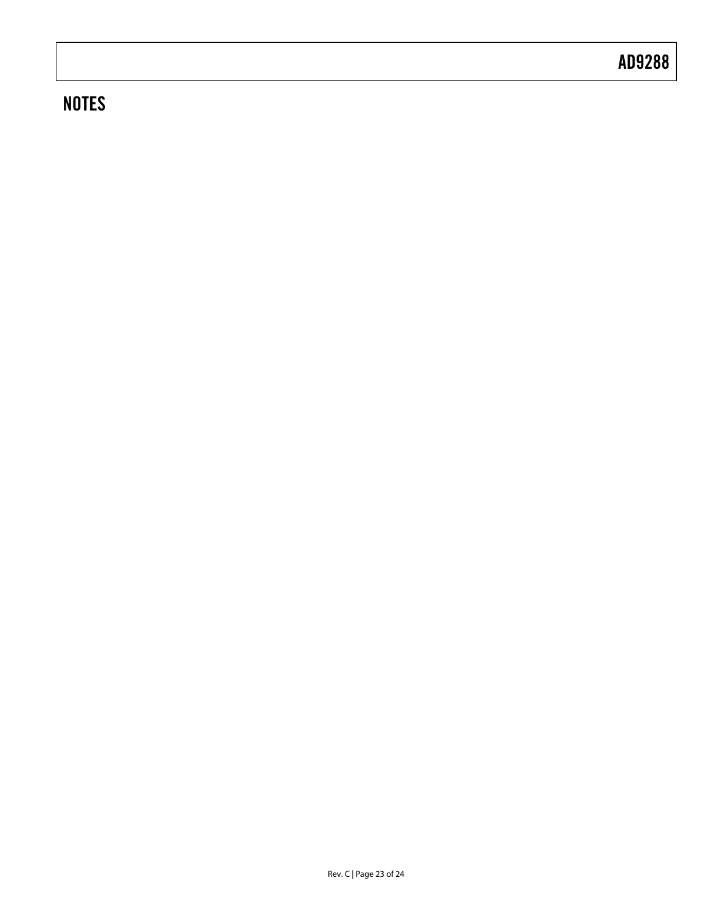## **NOTES**